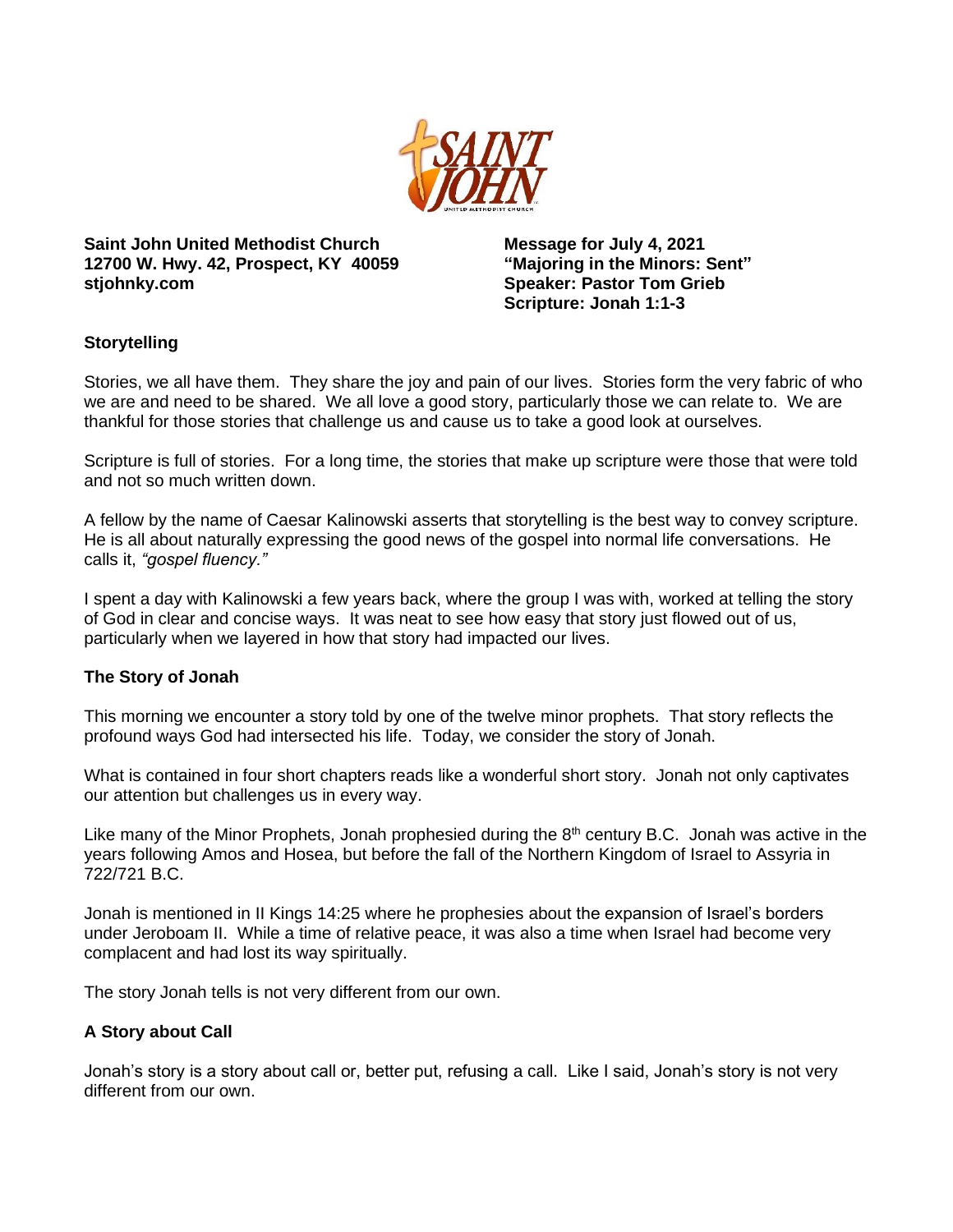

**Saint John United Methodist Church 12700 W. Hwy. 42, Prospect, KY 40059 stjohnky.com**

**Message for July 4, 2021 "Majoring in the Minors: Sent" Speaker: Pastor Tom Grieb Scripture: Jonah 1:1-3**

# **Storytelling**

Stories, we all have them. They share the joy and pain of our lives. Stories form the very fabric of who we are and need to be shared. We all love a good story, particularly those we can relate to. We are thankful for those stories that challenge us and cause us to take a good look at ourselves.

Scripture is full of stories. For a long time, the stories that make up scripture were those that were told and not so much written down.

A fellow by the name of Caesar Kalinowski asserts that storytelling is the best way to convey scripture. He is all about naturally expressing the good news of the gospel into normal life conversations. He calls it, *"gospel fluency."*

I spent a day with Kalinowski a few years back, where the group I was with, worked at telling the story of God in clear and concise ways. It was neat to see how easy that story just flowed out of us, particularly when we layered in how that story had impacted our lives.

# **The Story of Jonah**

This morning we encounter a story told by one of the twelve minor prophets. That story reflects the profound ways God had intersected his life. Today, we consider the story of Jonah.

What is contained in four short chapters reads like a wonderful short story. Jonah not only captivates our attention but challenges us in every way.

Like many of the Minor Prophets, Jonah prophesied during the  $8<sup>th</sup>$  century B.C. Jonah was active in the years following Amos and Hosea, but before the fall of the Northern Kingdom of Israel to Assyria in 722/721 B.C.

Jonah is mentioned in II Kings 14:25 where he prophesies about the expansion of Israel's borders under Jeroboam II. While a time of relative peace, it was also a time when Israel had become very complacent and had lost its way spiritually.

The story Jonah tells is not very different from our own.

# **A Story about Call**

Jonah's story is a story about call or, better put, refusing a call. Like I said, Jonah's story is not very different from our own.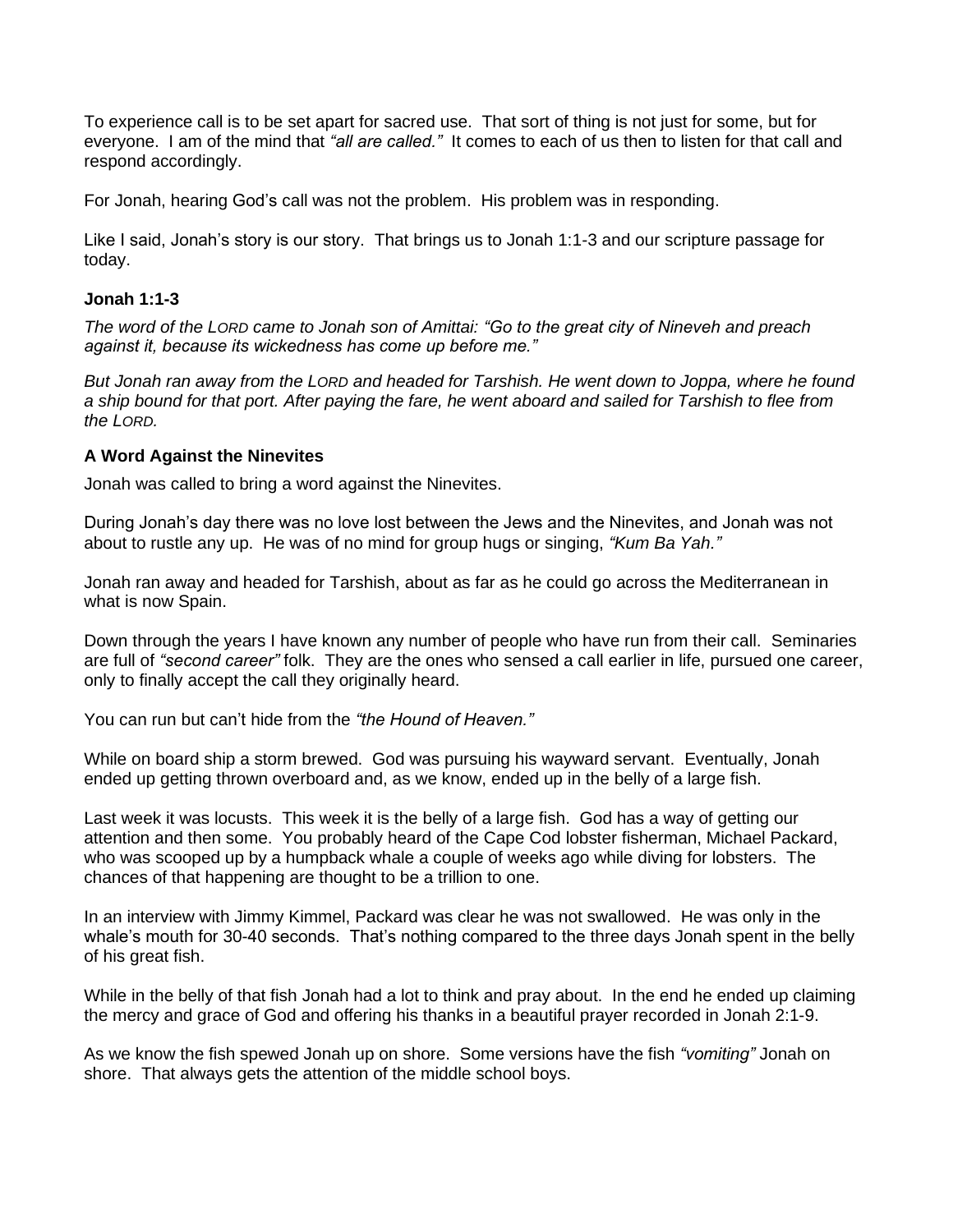To experience call is to be set apart for sacred use. That sort of thing is not just for some, but for everyone. I am of the mind that *"all are called."* It comes to each of us then to listen for that call and respond accordingly.

For Jonah, hearing God's call was not the problem. His problem was in responding.

Like I said, Jonah's story is our story. That brings us to Jonah 1:1-3 and our scripture passage for today.

# **Jonah 1:1-3**

*The word of the LORD came to Jonah son of Amittai: "Go to the great city of Nineveh and preach against it, because its wickedness has come up before me."*

*But Jonah ran away from the LORD and headed for Tarshish. He went down to Joppa, where he found a ship bound for that port. After paying the fare, he went aboard and sailed for Tarshish to flee from the LORD.*

#### **A Word Against the Ninevites**

Jonah was called to bring a word against the Ninevites.

During Jonah's day there was no love lost between the Jews and the Ninevites, and Jonah was not about to rustle any up. He was of no mind for group hugs or singing, *"Kum Ba Yah."*

Jonah ran away and headed for Tarshish, about as far as he could go across the Mediterranean in what is now Spain.

Down through the years I have known any number of people who have run from their call. Seminaries are full of *"second career"* folk. They are the ones who sensed a call earlier in life, pursued one career, only to finally accept the call they originally heard.

You can run but can't hide from the *"the Hound of Heaven."*

While on board ship a storm brewed. God was pursuing his wayward servant. Eventually, Jonah ended up getting thrown overboard and, as we know, ended up in the belly of a large fish.

Last week it was locusts. This week it is the belly of a large fish. God has a way of getting our attention and then some. You probably heard of the Cape Cod lobster fisherman, Michael Packard, who was scooped up by a humpback whale a couple of weeks ago while diving for lobsters. The chances of that happening are thought to be a trillion to one.

In an interview with Jimmy Kimmel, Packard was clear he was not swallowed. He was only in the whale's mouth for 30-40 seconds. That's nothing compared to the three days Jonah spent in the belly of his great fish.

While in the belly of that fish Jonah had a lot to think and pray about. In the end he ended up claiming the mercy and grace of God and offering his thanks in a beautiful prayer recorded in Jonah 2:1-9.

As we know the fish spewed Jonah up on shore. Some versions have the fish *"vomiting"* Jonah on shore. That always gets the attention of the middle school boys.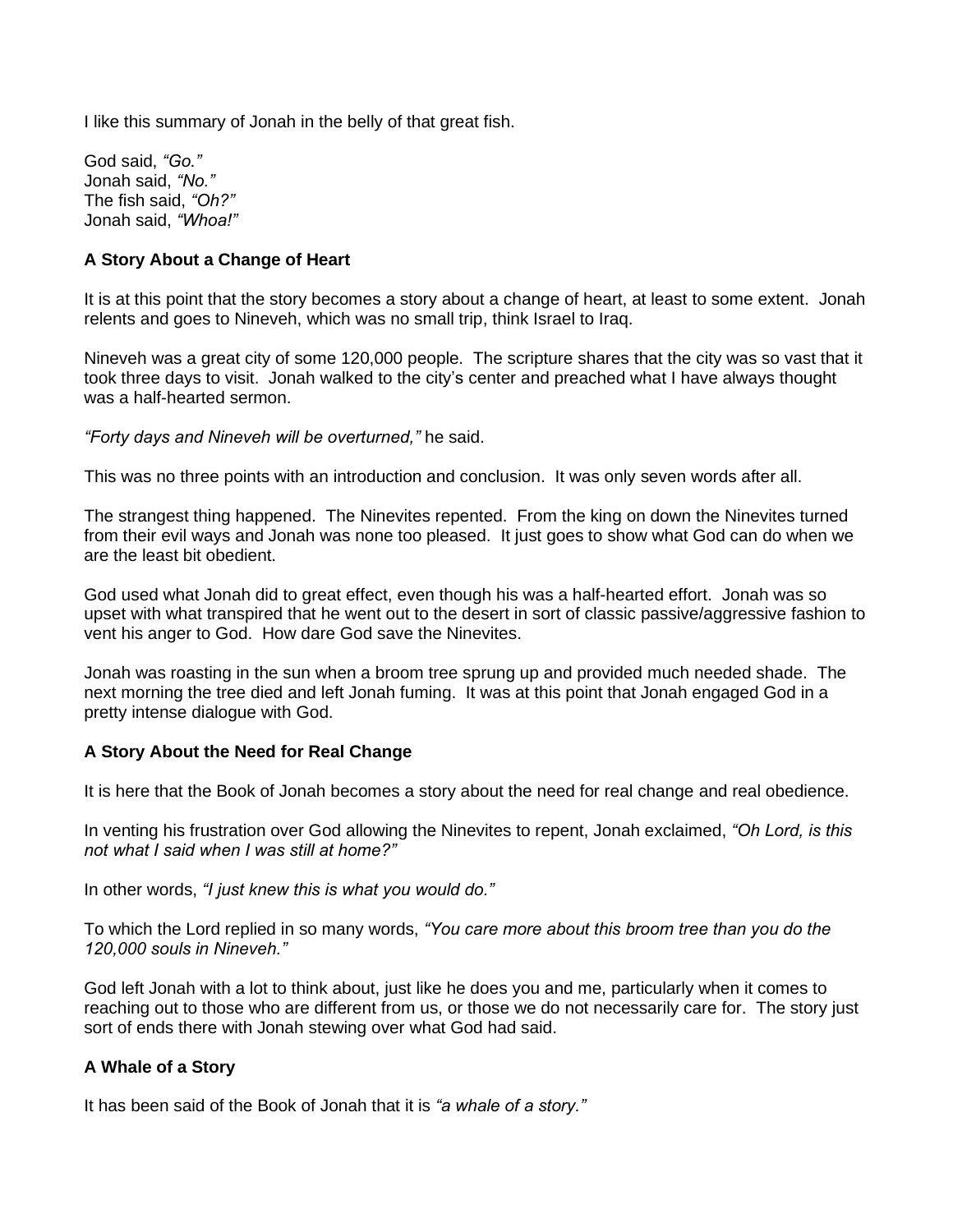I like this summary of Jonah in the belly of that great fish.

God said, *"Go."* Jonah said, *"No."* The fish said, *"Oh?"* Jonah said, *"Whoa!"*

# **A Story About a Change of Heart**

It is at this point that the story becomes a story about a change of heart, at least to some extent. Jonah relents and goes to Nineveh, which was no small trip, think Israel to Iraq.

Nineveh was a great city of some 120,000 people. The scripture shares that the city was so vast that it took three days to visit. Jonah walked to the city's center and preached what I have always thought was a half-hearted sermon.

*"Forty days and Nineveh will be overturned,"* he said.

This was no three points with an introduction and conclusion. It was only seven words after all.

The strangest thing happened. The Ninevites repented. From the king on down the Ninevites turned from their evil ways and Jonah was none too pleased. It just goes to show what God can do when we are the least bit obedient.

God used what Jonah did to great effect, even though his was a half-hearted effort. Jonah was so upset with what transpired that he went out to the desert in sort of classic passive/aggressive fashion to vent his anger to God. How dare God save the Ninevites.

Jonah was roasting in the sun when a broom tree sprung up and provided much needed shade. The next morning the tree died and left Jonah fuming. It was at this point that Jonah engaged God in a pretty intense dialogue with God.

# **A Story About the Need for Real Change**

It is here that the Book of Jonah becomes a story about the need for real change and real obedience.

In venting his frustration over God allowing the Ninevites to repent, Jonah exclaimed, *"Oh Lord, is this not what I said when I was still at home?"*

In other words, *"I just knew this is what you would do."*

To which the Lord replied in so many words, *"You care more about this broom tree than you do the 120,000 souls in Nineveh."*

God left Jonah with a lot to think about, just like he does you and me, particularly when it comes to reaching out to those who are different from us, or those we do not necessarily care for. The story just sort of ends there with Jonah stewing over what God had said.

# **A Whale of a Story**

It has been said of the Book of Jonah that it is *"a whale of a story."*